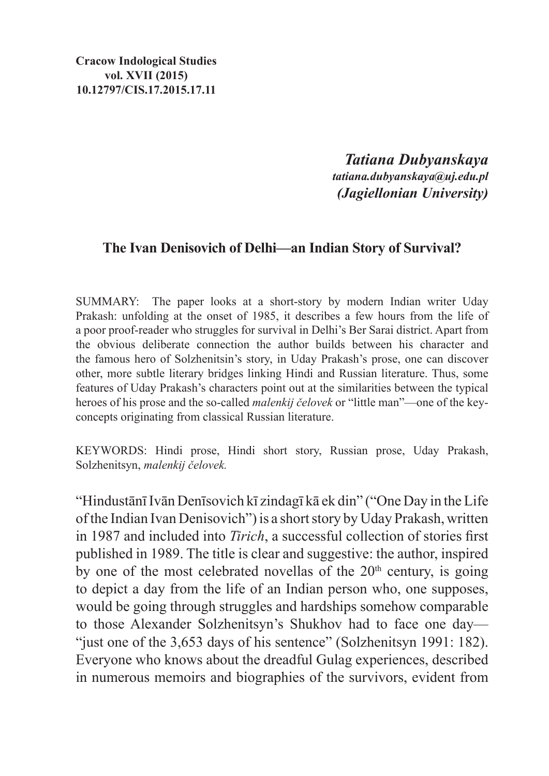**Cracow Indological Studies vol. XVII (2015) 10.12797/CIS.17.2015.17.11**

> *Tatiana Dubyanskaya tatiana.dubyanskaya@uj.edu.pl (Jagiellonian University)*

## **The Ivan Denisovich of Delhi—an Indian Story of Survival?**

SUMMARY: The paper looks at a short-story by modern Indian writer Uday Prakash: unfolding at the onset of 1985, it describes a few hours from the life of a poor proof-reader who struggles for survival in Delhi's Ber Sarai district. Apart from the obvious deliberate connection the author builds between his character and the famous hero of Solzhenitsin's story, in Uday Prakash's prose, one can discover other, more subtle literary bridges linking Hindi and Russian literature. Thus, some features of Uday Prakash's characters point out at the similarities between the typical heroes of his prose and the so-called *malenkij čelovek* or "little man"—one of the keyconcepts originating from classical Russian literature.

KEYWORDS: Hindi prose, Hindi short story, Russian prose, Uday Prakash, Solzhenitsyn, *malenkij čelovek.*

"Hindustānī Ivān Denīsovich kī zindagī kā ek din" ("One Day in theLife of the Indian Ivan Denisovich") is a short story by Uday Prakash, written in 1987 and included into *Tirich*, a successful collection of stories first published in 1989. The title is clear and suggestive: the author, inspired by one of the most celebrated novellas of the  $20<sup>th</sup>$  century, is going to depict a day from the life of an Indian person who, one supposes, would be going through struggles and hardships somehow comparable to those Alexander Solzhenitsyn's Shukhov had to face one day— "just one of the 3,653 days of his sentence" (Solzhenitsyn 1991: 182). Everyone who knows about the dreadful Gulag experiences, described in numerous memoirs and biographies of the survivors, evident from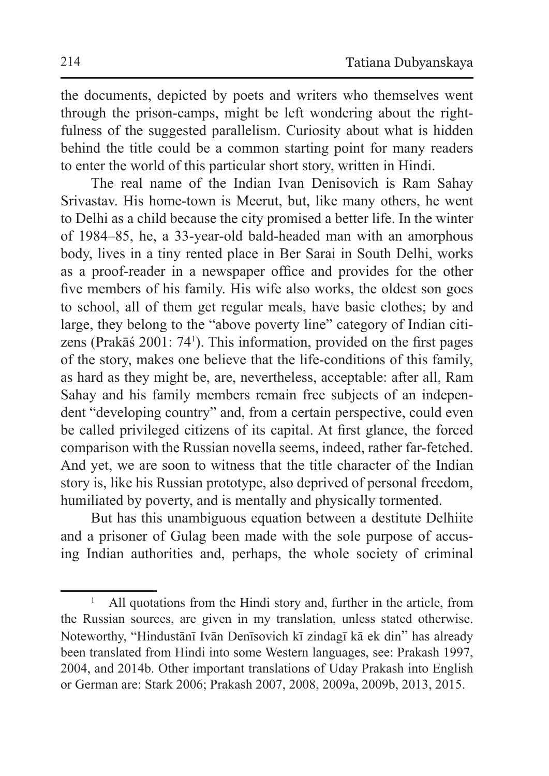the documents, depicted by poets and writers who themselves went through the prison-camps, might be left wondering about the rightfulness of the suggested parallelism. Curiosity about what is hidden behind the title could be a common starting point for many readers to enter the world of this particular short story, written in Hindi.

The real name of the Indian Ivan Denisovich is Ram Sahay Srivastav. His home-town is Meerut, but, like many others, he went to Delhi as a child because the city promised a better life. In the winter of 1984–85, he, a 33-year-old bald-headed man with an amorphous body, lives in a tiny rented place in Ber Sarai in South Delhi, works as a proof-reader in a newspaper office and provides for the other five members of his family. His wife also works, the oldest son goes to school, all of them get regular meals, have basic clothes; by and large, they belong to the "above poverty line" category of Indian citizens (Prakāś 2001: 74<sup>1</sup>). This information, provided on the first pages of the story, makes one believe that the life-conditions of this family, as hard as they might be, are, nevertheless, acceptable: after all, Ram Sahay and his family members remain free subjects of an independent "developing country" and, from a certain perspective, could even be called privileged citizens of its capital. At first glance, the forced comparison with the Russian novella seems, indeed, rather far-fetched. And yet, we are soon to witness that the title character of the Indian story is, like his Russian prototype, also deprived of personal freedom, humiliated by poverty, and is mentally and physically tormented.

But has this unambiguous equation between a destitute Delhiite and a prisoner of Gulag been made with the sole purpose of accusing Indian authorities and, perhaps, the whole society of criminal

All quotations from the Hindi story and, further in the article, from the Russian sources, are given in my translation, unless stated otherwise. Noteworthy, "Hindustānī Ivān Denīsovich kī zindagī kā ek din" has already been translated from Hindi into some Western languages, see: Prakash 1997, 2004, and 2014b. Other important translations of Uday Prakash into English or German are: Stark 2006; Prakash 2007, 2008, 2009a, 2009b, 2013, 2015.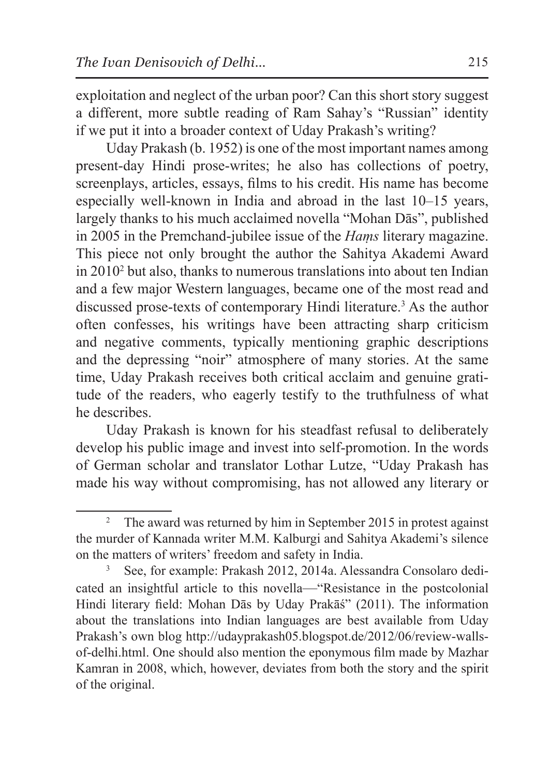exploitation and neglect of the urban poor? Can this short story suggest a different, more subtle reading of Ram Sahay's "Russian" identity if we put it into a broader context of Uday Prakash's writing?

Uday Prakash (b. 1952) is one of the most important names among present-day Hindi prose-writes; he also has collections of poetry, screenplays, articles, essays, films to his credit. His name has become especially well-known in India and abroad in the last 10–15 years, largely thanks to his much acclaimed novella "Mohan Dās", published in 2005 in the Premchand-jubilee issue of the *Haṃs* literary magazine. This piece not only brought the author the Sahitya Akademi Award in 20102 but also, thanks to numerous translations into about ten Indian and a few major Western languages, became one of the most read and discussed prose-texts of contemporary Hindi literature.<sup>3</sup> As the author often confesses, his writings have been attracting sharp criticism and negative comments, typically mentioning graphic descriptions and the depressing "noir" atmosphere of many stories. At the same time, Uday Prakash receives both critical acclaim and genuine gratitude of the readers, who eagerly testify to the truthfulness of what he describes.

Uday Prakash is known for his steadfast refusal to deliberately develop his public image and invest into self-promotion. In the words of German scholar and translator Lothar Lutze, "Uday Prakash has made his way without compromising, has not allowed any literary or

<sup>2</sup> The award was returned by him in September 2015 in protest against the murder of Kannada writer M.M. Kalburgi and Sahitya Akademi's silence on the matters of writers' freedom and safety in India.

<sup>3</sup> See, for example: Prakash 2012, 2014a. Alessandra Consolaro dedicated an insightful article to this novella—"Resistance in the postcolonial Hindi literary field: Mohan Dās by Uday Prakāś" (2011). The information about the translations into Indian languages are best available from Uday Prakash's own blog http://udayprakash05.blogspot.de/2012/06/review-wallsof-delhi.html. One should also mention the eponymous film made by Mazhar Kamran in 2008, which, however, deviates from both the story and the spirit of the original.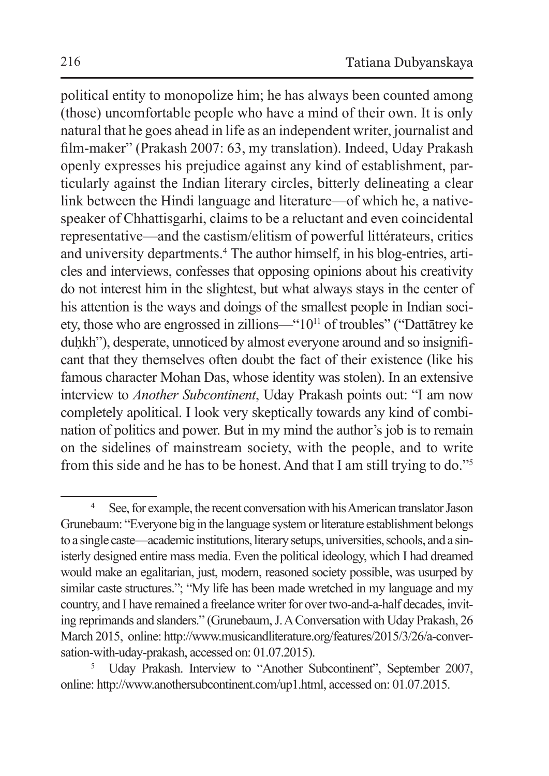political entity to monopolize him; he has always been counted among (those) uncomfortable people who have a mind of their own. It is only natural that he goes ahead in life as an independent writer, journalist and film-maker" (Prakash 2007: 63, my translation). Indeed, Uday Prakash openly expresses his prejudice against any kind of establishment, particularly against the Indian literary circles, bitterly delineating a clear link between the Hindi language and literature—of which he, a nativespeaker of Chhattisgarhi, claims to be a reluctant and even coincidental representative—and the castism/elitism of powerful littérateurs, critics and university departments.<sup>4</sup> The author himself, in his blog-entries, articles and interviews, confesses that opposing opinions about his creativity do not interest him in the slightest, but what always stays in the center of his attention is the ways and doings of the smallest people in Indian society, those who are engrossed in zillions—"1011 of troubles" ("Dattātrey ke duhkh"), desperate, unnoticed by almost everyone around and so insignificant that they themselves often doubt the fact of their existence (like his famous character Mohan Das, whose identity was stolen). In an extensive interview to *Another Subcontinent*, Uday Prakash points out: "I am now completely apolitical. I look very skeptically towards any kind of combination of politics and power. But in my mind the author's job is to remain on the sidelines of mainstream society, with the people, and to write from this side and he has to be honest. And that I am still trying to do."5

<sup>&</sup>lt;sup>4</sup> See, for example, the recent conversation with his American translator Jason Grunebaum: "Everyone big in the language system or literature establishment belongs to a single caste—academic institutions, literary setups, universities, schools, and a sinisterly designed entire mass media. Even the political ideology, which I had dreamed would make an egalitarian, just, modern, reasoned society possible, was usurped by similar caste structures."; "My life has been made wretched in my language and my country, and I have remained a freelance writer for over two-and-a-half decades, inviting reprimands and slanders." (Grunebaum, J.AConversation with Uday Prakash, 26 March 2015, online: http://www.musicandliterature.org/features/2015/3/26/a-conversation-with-uday-prakash, accessed on: 01.07.2015).<br><sup>5</sup> Uday Prakash. Interview to "Another Subcontinent", September 2007,

online: http://www.anothersubcontinent.com/up1.html, accessed on: 01.07.2015.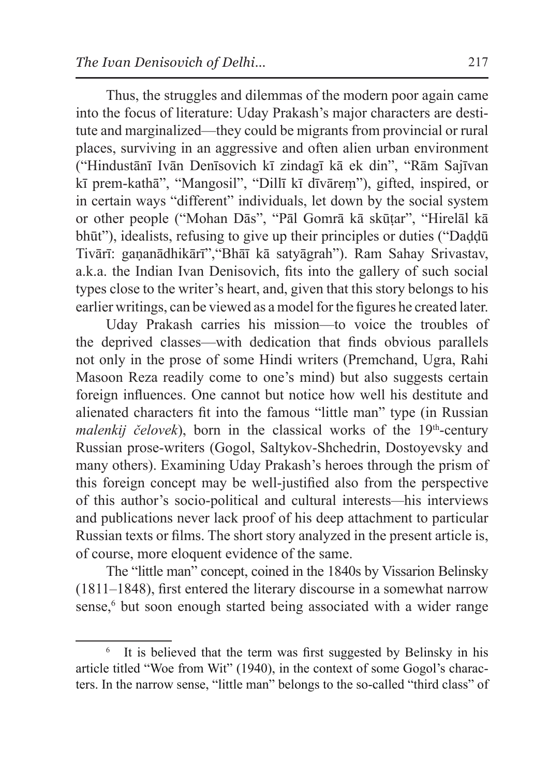Thus, the struggles and dilemmas of the modern poor again came into the focus of literature: Uday Prakash's major characters are destitute and marginalized—they could be migrants from provincial or rural places, surviving in an aggressive and often alien urban environment ("Hindustānī Ivān Denīsovich kī zindagī kā ek din", "Rām Sajīvan kī prem-kathā", "Mangosil", "Dillī kī dīvāreṃ"), gifted, inspired, or in certain ways "different" individuals, let down by the social system or other people ("Mohan Dās", "Pāl Gomrā kā skūṭar", "Hirelāl kā bhūt"), idealists, refusing to give up their principles or duties ("Daḍḍū Tivārī: gaṇanādhikārī","Bhāī kā satyāgrah"). Ram Sahay Srivastav, a.k.a. the Indian Ivan Denisovich, fits into the gallery of such social types close to the writer's heart, and, given that this story belongs to his earlier writings, can be viewed as a model for the figures he created later.

Uday Prakash carries his mission—to voice the troubles of the deprived classes—with dedication that finds obvious parallels not only in the prose of some Hindi writers (Premchand, Ugra, Rahi Masoon Reza readily come to one's mind) but also suggests certain foreign influences. One cannot but notice how well his destitute and alienated characters fit into the famous "little man" type (in Russian *malenkij čelovek*), born in the classical works of the 19<sup>th</sup>-century Russian prose-writers (Gogol, Saltykov-Shchedrin, Dostoyevsky and many others). Examining Uday Prakash's heroes through the prism of this foreign concept may be well-justified also from the perspective of this author's socio-political and cultural interests*—*his interviews and publications never lack proof of his deep attachment to particular Russian texts or films. The short story analyzed in the present article is, of course, more eloquent evidence of the same.

The "little man" concept, coined in the 1840s by Vissarion Belinsky (1811–1848), first entered the literary discourse in a somewhat narrow sense,<sup>6</sup> but soon enough started being associated with a wider range

It is believed that the term was first suggested by Belinsky in his article titled "Woe from Wit" (1940), in the context of some Gogol's characters. In the narrow sense, "little man" belongs to the so-called "third class" of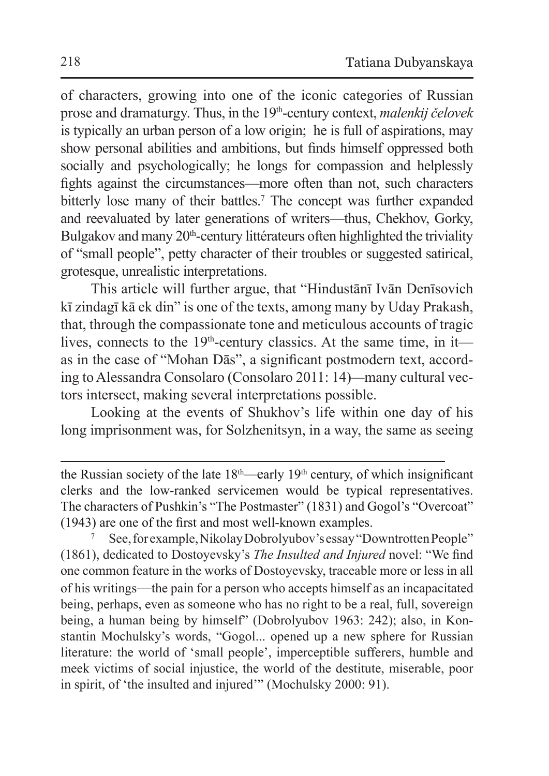of characters, growing into one of the iconic categories of Russian prose and dramaturgy. Thus, in the 19th-century context, *malenkij čelovek* is typically an urban person of a low origin; he is full of aspirations, may show personal abilities and ambitions, but finds himself oppressed both socially and psychologically; he longs for compassion and helplessly fights against the circumstances—more often than not, such characters bitterly lose many of their battles.<sup>7</sup> The concept was further expanded and reevaluated by later generations of writers—thus, Chekhov, Gorky, Bulgakov and many 20<sup>th</sup>-century littérateurs often highlighted the triviality of "small people", petty character of their troubles or suggested satirical, grotesque, unrealistic interpretations.

This article will further argue, that "Hindustānī Ivān Denīsovich kī zindagī kā ek din" is one of the texts, among many by Uday Prakash, that, through the compassionate tone and meticulous accounts of tragic lives, connects to the  $19<sup>th</sup>$ -century classics. At the same time, in it as in the case of "Mohan Dās", a significant postmodern text, according to Alessandra Consolaro (Consolaro 2011: 14)*—*many cultural vectors intersect, making several interpretations possible.

Looking at the events of Shukhov's life within one day of his long imprisonment was, for Solzhenitsyn, in a way, the same as seeing

the Russian society of the late 18<sup>th</sup>—early 19<sup>th</sup> century, of which insignificant clerks and the low-ranked servicemen would be typical representatives. The characters of Pushkin's "The Postmaster" (1831) and Gogol's "Overcoat" (1943) are one of the first and most well-known examples.

<sup>7</sup> See, for example, Nikolay Dobrolyubov's essay "Downtrotten People" (1861), dedicated to Dostoyevsky's *The Insulted and Injured* novel: "We find one common feature in the works of Dostoyevsky, traceable more or less in all of his writings—the pain for a person who accepts himself as an incapacitated being, perhaps, even as someone who has no right to be a real, full, sovereign being, a human being by himself" (Dobrolyubov 1963: 242); also, in Konstantin Mochulsky's words, "Gogol... opened up a new sphere for Russian literature: the world of 'small people', imperceptible sufferers, humble and meek victims of social injustice, the world of the destitute, miserable, poor in spirit, of 'the insulted and injured'" (Mochulsky 2000: 91).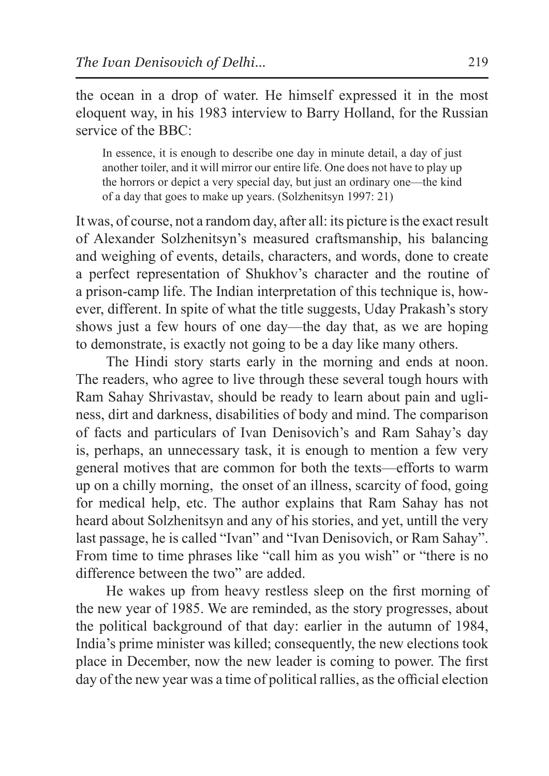the ocean in a drop of water. He himself expressed it in the most eloquent way, in his 1983 interview to Barry Holland, for the Russian service of the BBC:

In essence, it is enough to describe one day in minute detail, a day of just another toiler, and it will mirror our entire life. One does not have to play up the horrors or depict a very special day, but just an ordinary one—the kind of a day that goes to make up years. (Solzhenitsyn 1997: 21)

It was, of course, not a random day, after all: its picture is the exact result of Alexander Solzhenitsyn's measured craftsmanship, his balancing and weighing of events, details, characters, and words, done to create a perfect representation of Shukhov's character and the routine of a prison-camp life. The Indian interpretation of this technique is, however, different. In spite of what the title suggests, Uday Prakash's story shows just a few hours of one day—the day that, as we are hoping to demonstrate, is exactly not going to be a day like many others.

The Hindi story starts early in the morning and ends at noon. The readers, who agree to live through these several tough hours with Ram Sahay Shrivastav, should be ready to learn about pain and ugliness, dirt and darkness, disabilities of body and mind. The comparison of facts and particulars of Ivan Denisovich's and Ram Sahay's day is, perhaps, an unnecessary task, it is enough to mention a few very general motives that are common for both the texts—efforts to warm up on a chilly morning, the onset of an illness, scarcity of food, going for medical help, etc. The author explains that Ram Sahay has not heard about Solzhenitsyn and any of his stories, and yet, untill the very last passage, he is called "Ivan" and "Ivan Denisovich, or Ram Sahay". From time to time phrases like "call him as you wish" or "there is no difference between the two" are added.

He wakes up from heavy restless sleep on the first morning of the new year of 1985. We are reminded, as the story progresses, about the political background of that day: earlier in the autumn of 1984, India's prime minister was killed; consequently, the new elections took place in December, now the new leader is coming to power. The first day of the new year was a time of political rallies, asthe official election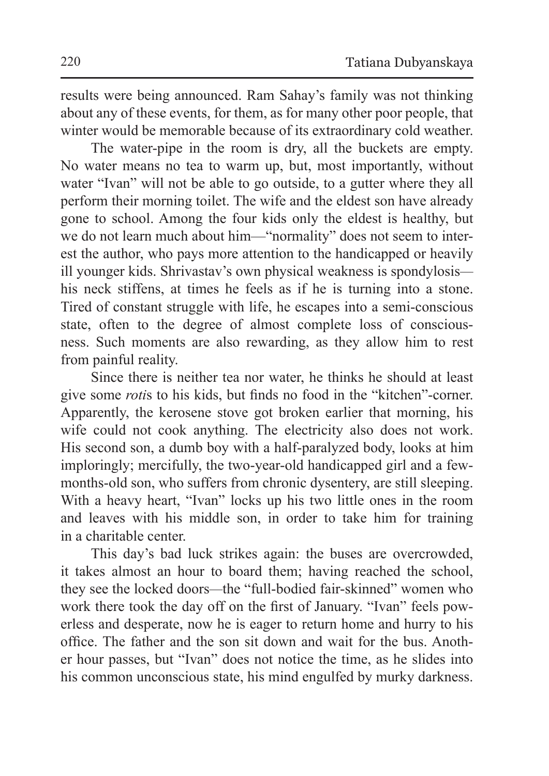results were being announced. Ram Sahay's family was not thinking about any of these events, for them, as for many other poor people, that winter would be memorable because of its extraordinary cold weather.

The water-pipe in the room is dry, all the buckets are empty. No water means no tea to warm up, but, most importantly, without water "Ivan" will not be able to go outside, to a gutter where they all perform their morning toilet. The wife and the eldest son have already gone to school. Among the four kids only the eldest is healthy, but we do not learn much about him—"normality" does not seem to interest the author, who pays more attention to the handicapped or heavily ill younger kids. Shrivastav's own physical weakness is spondylosis his neck stiffens, at times he feels as if he is turning into a stone. Tired of constant struggle with life, he escapes into a semi-conscious state, often to the degree of almost complete loss of consciousness. Such moments are also rewarding, as they allow him to rest from painful reality.

Since there is neither tea nor water, he thinks he should at least give some *roti*s to his kids, but finds no food in the "kitchen"-corner. Apparently, the kerosene stove got broken earlier that morning, his wife could not cook anything. The electricity also does not work. His second son, a dumb boy with a half-paralyzed body, looks at him imploringly; mercifully, the two-year-old handicapped girl and a fewmonths-old son, who suffers from chronic dysentery, are still sleeping. With a heavy heart, "Ivan" locks up his two little ones in the room and leaves with his middle son, in order to take him for training in a charitable center.

This day's bad luck strikes again: the buses are overcrowded, it takes almost an hour to board them; having reached the school, they see the locked doors*—*the "full-bodied fair-skinned" women who work there took the day off on the first of January. "Ivan" feels powerless and desperate, now he is eager to return home and hurry to his office. The father and the son sit down and wait for the bus. Another hour passes, but "Ivan" does not notice the time, as he slides into his common unconscious state, his mind engulfed by murky darkness.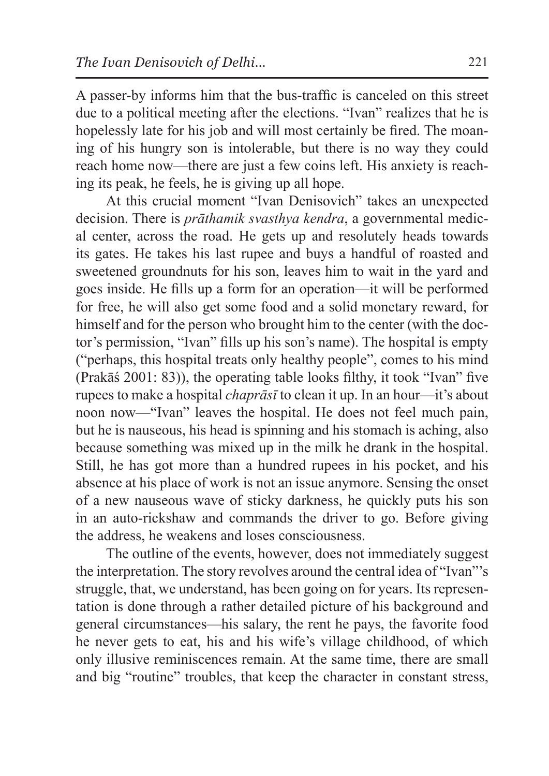A passer-by informs him that the bus-traffic is canceled on this street due to a political meeting after the elections. "Ivan" realizes that he is hopelessly late for his job and will most certainly be fired. The moaning of his hungry son is intolerable, but there is no way they could reach home now—there are just a few coins left. His anxiety is reaching its peak, he feels, he is giving up all hope.

At this crucial moment "Ivan Denisovich" takes an unexpected decision. There is *prāthamik svasthya kendra*, a governmental medical center, across the road. He gets up and resolutely heads towards its gates. He takes his last rupee and buys a handful of roasted and sweetened groundnuts for his son, leaves him to wait in the yard and goes inside. He fills up a form for an operation—it will be performed for free, he will also get some food and a solid monetary reward, for himself and for the person who brought him to the center (with the doctor's permission, "Ivan" fills up his son's name). The hospital is empty ("perhaps, this hospital treats only healthy people", comes to his mind (Prakāś 2001: 83)), the operating table looks filthy, it took "Ivan" five rupees to make a hospital *chaprāsī* to clean it up. In an hour—it's about noon now—"Ivan" leaves the hospital. He does not feel much pain, but he is nauseous, his head is spinning and his stomach is aching, also because something was mixed up in the milk he drank in the hospital. Still, he has got more than a hundred rupees in his pocket, and his absence at his place of work is not an issue anymore. Sensing the onset of a new nauseous wave of sticky darkness, he quickly puts his son in an auto-rickshaw and commands the driver to go. Before giving the address, he weakens and loses consciousness.

The outline of the events, however, does not immediately suggest the interpretation. The story revolves around the central idea of "Ivan"'s struggle, that, we understand, has been going on for years. Its representation is done through a rather detailed picture of his background and general circumstances—his salary, the rent he pays, the favorite food he never gets to eat, his and his wife's village childhood, of which only illusive reminiscences remain. At the same time, there are small and big "routine" troubles, that keep the character in constant stress,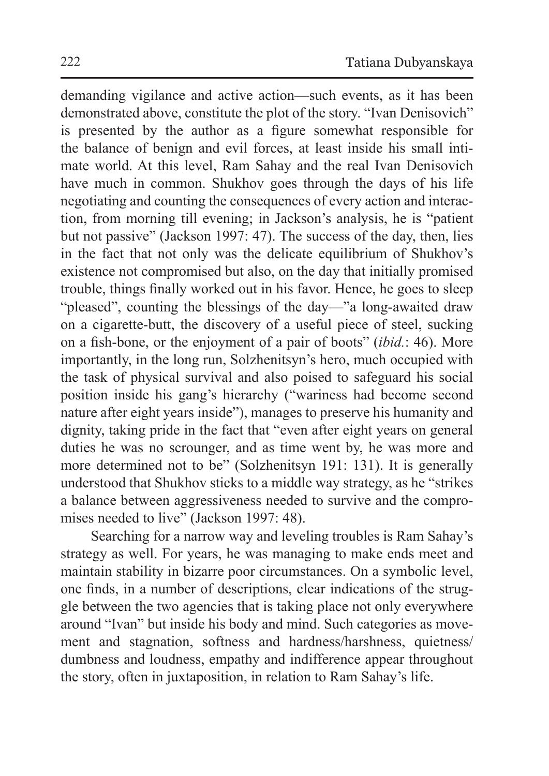demanding vigilance and active action—such events, as it has been demonstrated above, constitute the plot of the story. "Ivan Denisovich" is presented by the author as a figure somewhat responsible for the balance of benign and evil forces, at least inside his small intimate world. At this level, Ram Sahay and the real Ivan Denisovich have much in common. Shukhov goes through the days of his life negotiating and counting the consequences of every action and interaction, from morning till evening; in Jackson's analysis, he is "patient but not passive" (Jackson 1997: 47). The success of the day, then, lies in the fact that not only was the delicate equilibrium of Shukhov's existence not compromised but also, on the day that initially promised trouble, things finally worked out in his favor. Hence, he goes to sleep "pleased", counting the blessings of the day—"a long-awaited draw on a cigarette-butt, the discovery of a useful piece of steel, sucking on a fish-bone, or the enjoyment of a pair of boots" (*ibid.*: 46). More importantly, in the long run, Solzhenitsyn's hero, much occupied with the task of physical survival and also poised to safeguard his social position inside his gang's hierarchy ("wariness had become second nature after eight years inside"), manages to preserve his humanity and dignity, taking pride in the fact that "even after eight years on general duties he was no scrounger, and as time went by, he was more and more determined not to be" (Solzhenitsyn 191: 131). It is generally understood that Shukhov sticks to a middle way strategy, as he "strikes a balance between aggressiveness needed to survive and the compromises needed to live" (Jackson 1997: 48).

Searching for a narrow way and leveling troubles is Ram Sahay's strategy as well. For years, he was managing to make ends meet and maintain stability in bizarre poor circumstances. On a symbolic level, one finds, in a number of descriptions, clear indications of the struggle between the two agencies that is taking place not only everywhere around "Ivan" but inside his body and mind. Such categories as movement and stagnation, softness and hardness/harshness, quietness/ dumbness and loudness, empathy and indifference appear throughout the story, often in juxtaposition, in relation to Ram Sahay's life.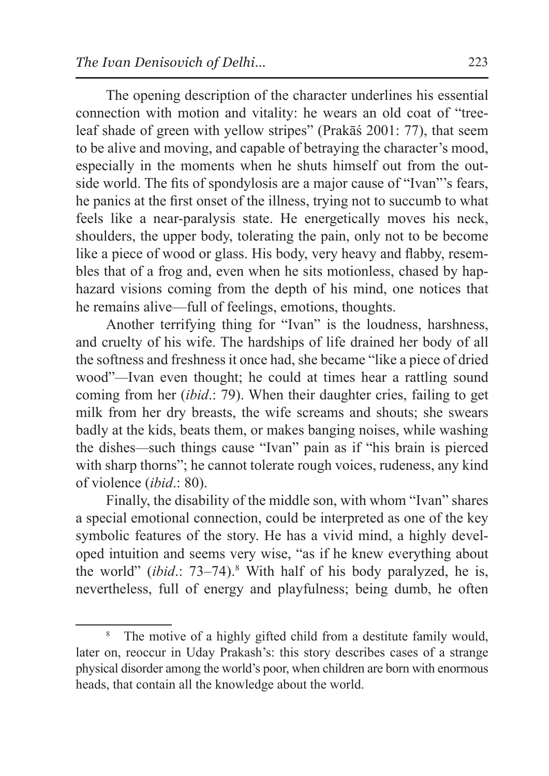The opening description of the character underlines his essential connection with motion and vitality: he wears an old coat of "treeleaf shade of green with yellow stripes" (Prakāś 2001: 77), that seem to be alive and moving, and capable of betraying the character's mood, especially in the moments when he shuts himself out from the outside world. The fits of spondylosis are a major cause of "Ivan"'s fears, he panics at the first onset of the illness, trying not to succumb to what feels like a near-paralysis state. He energetically moves his neck, shoulders, the upper body, tolerating the pain, only not to be become like a piece of wood or glass. His body, very heavy and flabby, resembles that of a frog and, even when he sits motionless, chased by haphazard visions coming from the depth of his mind, one notices that he remains alive—full of feelings, emotions, thoughts.

Another terrifying thing for "Ivan" is the loudness, harshness, and cruelty of his wife. The hardships of life drained her body of all the softness and freshness it once had, she became "like a piece of dried wood"*—*Ivan even thought; he could at times hear a rattling sound coming from her (*ibid*.: 79). When their daughter cries, failing to get milk from her dry breasts, the wife screams and shouts; she swears badly at the kids, beats them, or makes banging noises, while washing the dishes*—*such things cause "Ivan" pain as if "his brain is pierced with sharp thorns"; he cannot tolerate rough voices, rudeness, any kind of violence (*ibid*.: 80).

Finally, the disability of the middle son, with whom "Ivan" shares a special emotional connection, could be interpreted as one of the key symbolic features of the story. He has a vivid mind, a highly developed intuition and seems very wise, "as if he knew everything about the world" *(ibid.*: 73–74).<sup>8</sup> With half of his body paralyzed, he is, nevertheless, full of energy and playfulness; being dumb, he often

<sup>&</sup>lt;sup>8</sup> The motive of a highly gifted child from a destitute family would, later on, reoccur in Uday Prakash's: this story describes cases of a strange physical disorder among the world's poor, when children are born with enormous heads, that contain all the knowledge about the world.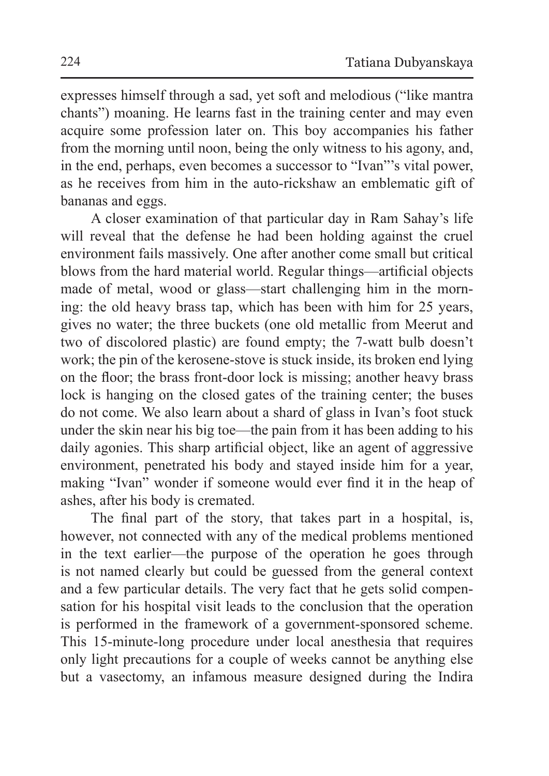expresses himself through a sad, yet soft and melodious ("like mantra chants") moaning. He learns fast in the training center and may even acquire some profession later on. This boy accompanies his father from the morning until noon, being the only witness to his agony, and, in the end, perhaps, even becomes a successor to "Ivan"'s vital power, as he receives from him in the auto-rickshaw an emblematic gift of bananas and eggs.

A closer examination of that particular day in Ram Sahay's life will reveal that the defense he had been holding against the cruel environment fails massively. One after another come small but critical blows from the hard material world. Regular things—artificial objects made of metal, wood or glass—start challenging him in the morning: the old heavy brass tap, which has been with him for 25 years, gives no water; the three buckets (one old metallic from Meerut and two of discolored plastic) are found empty; the 7-watt bulb doesn't work; the pin of the kerosene-stove is stuck inside, its broken end lying on the floor; the brass front-door lock is missing; another heavy brass lock is hanging on the closed gates of the training center; the buses do not come. We also learn about a shard of glass in Ivan's foot stuck under the skin near his big toe—the pain from it has been adding to his daily agonies. This sharp artificial object, like an agent of aggressive environment, penetrated his body and stayed inside him for a year, making "Ivan" wonder if someone would ever find it in the heap of ashes, after his body is cremated.

The final part of the story, that takes part in a hospital, is, however, not connected with any of the medical problems mentioned in the text earlier—the purpose of the operation he goes through is not named clearly but could be guessed from the general context and a few particular details. The very fact that he gets solid compensation for his hospital visit leads to the conclusion that the operation is performed in the framework of a government-sponsored scheme. This 15-minute-long procedure under local anesthesia that requires only light precautions for a couple of weeks cannot be anything else but a vasectomy, an infamous measure designed during the Indira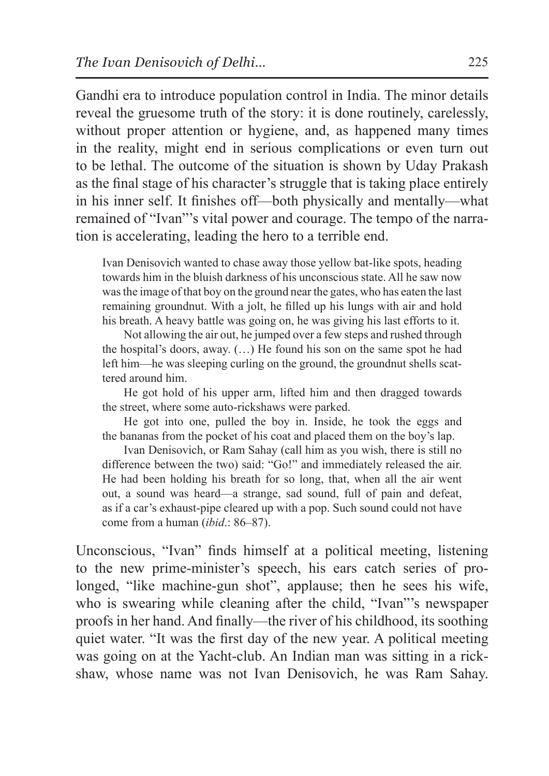Gandhi era to introduce population control in India. The minor details reveal the gruesome truth of the story: it is done routinely, carelessly, without proper attention or hygiene, and, as happened many times in the reality, might end in serious complications or even turn out to be lethal. The outcome of the situation is shown by Uday Prakash as the final stage of his character's struggle that is taking place entirely in his inner self. It finishes off—both physically and mentally—what remained of "Ivan"'s vital power and courage. The tempo of the narration is accelerating, leading the hero to a terrible end.

Ivan Denisovich wanted to chase away those yellow bat-like spots, heading towards him in the bluish darkness of his unconscious state. All he saw now was the image of that boy on the ground near the gates, who has eaten the last remaining groundnut. With a jolt, he filled up his lungs with air and hold his breath. A heavy battle was going on, he was giving his last efforts to it.

Not allowing the air out, he jumped over a few steps and rushed through the hospital's doors, away. (…) He found his son on the same spot he had left him—he was sleeping curling on the ground, the groundnut shells scattered around him.

He got hold of his upper arm, lifted him and then dragged towards the street, where some auto-rickshaws were parked.

He got into one, pulled the boy in. Inside, he took the eggs and the bananas from the pocket of his coat and placed them on the boy's lap.

Ivan Denisovich, or Ram Sahay (call him as you wish, there is still no difference between the two) said: "Go!" and immediately released the air. He had been holding his breath for so long, that, when all the air went out, a sound was heard—a strange, sad sound, full of pain and defeat, as if a car's exhaust-pipe cleared up with a pop. Such sound could not have come from a human (*ibid*.: 86–87).

Unconscious, "Ivan" finds himself at a political meeting, listening to the new prime-minister's speech, his ears catch series of prolonged, "like machine-gun shot", applause; then he sees his wife, who is swearing while cleaning after the child, "Ivan"'s newspaper proofs in her hand. And finally—the river of his childhood, its soothing quiet water. "It was the first day of the new year. A political meeting was going on at the Yacht-club. An Indian man was sitting in a rickshaw, whose name was not Ivan Denisovich, he was Ram Sahay.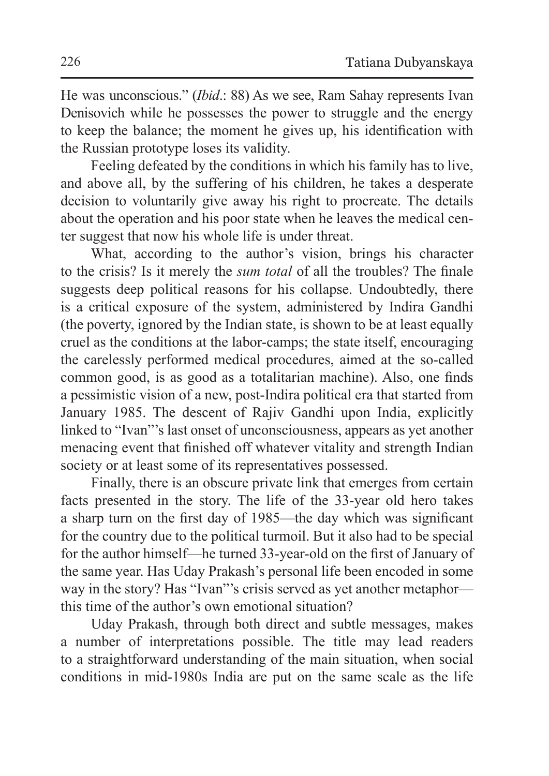He was unconscious." (*Ibid*.: 88) As we see, Ram Sahay represents Ivan Denisovich while he possesses the power to struggle and the energy to keep the balance; the moment he gives up, his identification with the Russian prototype loses its validity.

Feeling defeated by the conditions in which his family has to live, and above all, by the suffering of his children, he takes a desperate decision to voluntarily give away his right to procreate. The details about the operation and his poor state when he leaves the medical center suggest that now his whole life is under threat.

What, according to the author's vision, brings his character to the crisis? Is it merely the *sum total* of all the troubles? The finale suggests deep political reasons for his collapse. Undoubtedly, there is a critical exposure of the system, administered by Indira Gandhi (the poverty, ignored by the Indian state, is shown to be at least equally cruel as the conditions at the labor-camps; the state itself, encouraging the carelessly performed medical procedures, aimed at the so-called common good, is as good as a totalitarian machine). Also, one finds a pessimistic vision of a new, post-Indira political era that started from January 1985. The descent of Rajiv Gandhi upon India, explicitly linked to "Ivan"'s last onset of unconsciousness, appears as yet another menacing event that finished off whatever vitality and strength Indian society or at least some of its representatives possessed.

Finally, there is an obscure private link that emerges from certain facts presented in the story. The life of the 33-year old hero takes a sharp turn on the first day of 1985—the day which was significant for the country due to the political turmoil. But it also had to be special for the author himself—he turned 33-year-old on the first of January of the same year. Has Uday Prakash's personal life been encoded in some way in the story? Has "Ivan"'s crisis served as yet another metaphor this time of the author's own emotional situation?

Uday Prakash, through both direct and subtle messages, makes a number of interpretations possible. The title may lead readers to a straightforward understanding of the main situation, when social conditions in mid-1980s India are put on the same scale as the life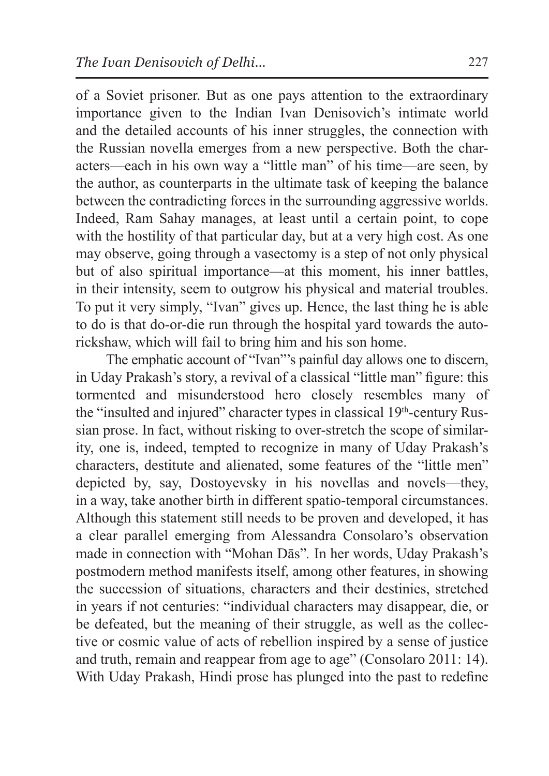of a Soviet prisoner. But as one pays attention to the extraordinary importance given to the Indian Ivan Denisovich's intimate world and the detailed accounts of his inner struggles, the connection with the Russian novella emerges from a new perspective. Both the characters—each in his own way a "little man" of his time—are seen, by the author, as counterparts in the ultimate task of keeping the balance between the contradicting forces in the surrounding aggressive worlds. Indeed, Ram Sahay manages, at least until a certain point, to cope with the hostility of that particular day, but at a very high cost. As one may observe, going through a vasectomy is a step of not only physical but of also spiritual importance—at this moment, his inner battles, in their intensity, seem to outgrow his physical and material troubles. To put it very simply, "Ivan" gives up. Hence, the last thing he is able to do is that do-or-die run through the hospital yard towards the autorickshaw, which will fail to bring him and his son home.

The emphatic account of "Ivan"'s painful day allows one to discern, in Uday Prakash's story, a revival of a classical "little man" figure: this tormented and misunderstood hero closely resembles many of the "insulted and injured" character types in classical 19th-century Russian prose. In fact, without risking to over-stretch the scope of similarity, one is, indeed, tempted to recognize in many of Uday Prakash's characters, destitute and alienated, some features of the "little men" depicted by, say, Dostoyevsky in his novellas and novels—they, in a way, take another birth in different spatio-temporal circumstances. Although this statement still needs to be proven and developed, it has a clear parallel emerging from Alessandra Consolaro's observation made in connection with "Mohan Dās"*.* In her words, Uday Prakash's postmodern method manifests itself, among other features, in showing the succession of situations, characters and their destinies, stretched in years if not centuries: "individual characters may disappear, die, or be defeated, but the meaning of their struggle, as well as the collective or cosmic value of acts of rebellion inspired by a sense of justice and truth, remain and reappear from age to age" (Consolaro 2011: 14). With Uday Prakash, Hindi prose has plunged into the past to redefine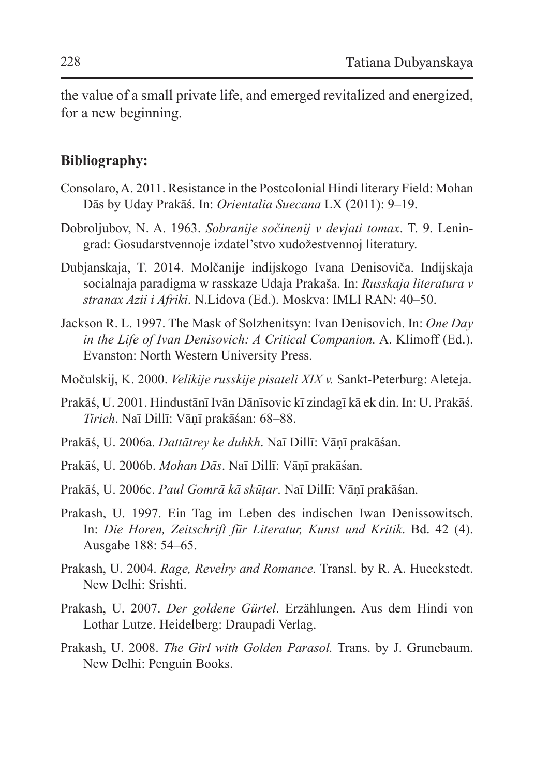the value of a small private life, and emerged revitalized and energized, for a new beginning.

## **Bibliography:**

- Consolaro, A. 2011. Resistance in the Postcolonial Hindi literary Field: Mohan Dās by Uday Prakāś. In: *Orientalia Suecana* LX (2011): 9–19.
- Dobroljubov, N. A. 1963. *Sobranije sočinenij v devjati tomax*. T. 9. Leningrad: Gosudarstvennoje izdatel'stvo xudožestvennoj literatury.
- Dubjanskaja, T. 2014. Molčanije indijskogo Ivana Denisoviča. Indijskaja socialnaja paradigma w rasskaze Udaja Prakaša. In: *Russkaja literatura v stranax Azii i Afriki*. N.Lidova (Ed.). Moskva: IMLI RAN: 40–50.
- Jackson R. L. 1997. The Mask of Solzhenitsyn: Ivan Denisovich. In: *One Day in the Life of Ivan Denisovich: A Critical Companion.* A. Klimoff (Ed.). Evanston: North Western University Press.
- Močulskij, K. 2000. *Velikije russkije pisateli XIX v.* Sankt-Peterburg: Aleteja.
- Prakāś, U. 2001. Hindustānī Ivān Dānīsovic kī zindagī kā ek din. In: U. Prakāś. *Tirich*. Naī Dillī: Vāṇī prakāśan: 68–88.
- Prakāś, U. 2006a. *Dattātrey ke duhkh*. Naī Dillī: Vāṇī prakāśan.
- Prakāś, U. 2006b. *Mohan Dās*. Naī Dillī: Vāṇī prakāśan.
- Prakāś, U. 2006c. *Paul Gomrā kā skūṭar*. Naī Dillī: Vāṇī prakāśan.
- Prakash, U. 1997. Ein Tag im Leben des indischen Iwan Denissowitsch. In: *Die Horen, Zeitschrift für Literatur, Kunst und Kritik*. Bd. 42 (4). Ausgabe 188: 54–65.
- Prakash, U. 2004. *Rage, Revelry and Romance.* Transl. by R. A. Hueckstedt. New Delhi: Srishti.
- Prakash, U. 2007. *Der goldene Gürtel*. Erzählungen. Aus dem Hindi von Lothar Lutze. Heidelberg: Draupadi Verlag.
- Prakash, U. 2008. *The Girl with Golden Parasol.* Trans. by J. Grunebaum. New Delhi: Penguin Books.